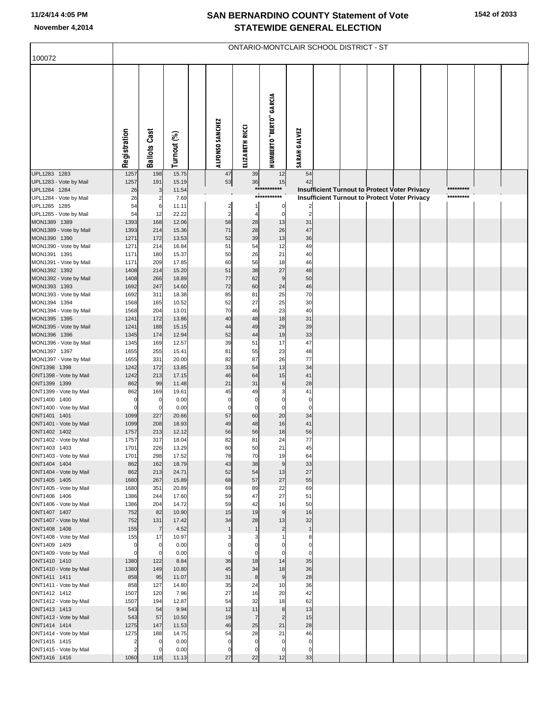## **SAN BERNARDINO COUNTY Statement of Vote November 4,2014 STATEWIDE GENERAL ELECTION**

|                                        | ONTARIO-MONTCLAIR SCHOOL DISTRICT - ST |                     |                |  |                            |                            |                                |                               |  |  |  |                                               |  |           |  |
|----------------------------------------|----------------------------------------|---------------------|----------------|--|----------------------------|----------------------------|--------------------------------|-------------------------------|--|--|--|-----------------------------------------------|--|-----------|--|
| 100072                                 |                                        |                     |                |  |                            |                            |                                |                               |  |  |  |                                               |  |           |  |
|                                        | Registration                           | <b>Ballots Cast</b> | Turnout (%)    |  | ALFONSO SANCHEZ            | ELIZABETH RICCI            | <b>HUMBERTO "BERTO" GARCIA</b> | <b>SARAH GALVEZ</b>           |  |  |  |                                               |  |           |  |
| UPL1283 1283                           | 1257                                   | 198                 | 15.75          |  | 47                         | 39                         | 12                             | 54                            |  |  |  |                                               |  |           |  |
| UPL1283 - Vote by Mail<br>UPL1284 1284 | 1257<br>26                             | 191<br>3            | 15.19<br>11.54 |  | 53                         | 36                         | 15<br>*****<br>******          | 42                            |  |  |  | Insufficient Turnout to Protect Voter Privacy |  | ********* |  |
| UPL1284 - Vote by Mail                 | 26                                     |                     | 7.69           |  |                            |                            | ***********                    |                               |  |  |  | Insufficient Turnout to Protect Voter Privacy |  | ********* |  |
| UPL1285 1285                           | 54                                     | 6                   | 11.11          |  | $\overline{c}$             |                            | $\overline{0}$                 |                               |  |  |  |                                               |  |           |  |
| UPL1285 - Vote by Mail<br>MON1389 1389 | 54<br>1393                             | 12<br>168           | 22.22<br>12.06 |  | $\overline{a}$<br>58       | 4<br>28                    | $\overline{0}$<br>13           | $\overline{c}$<br>31          |  |  |  |                                               |  |           |  |
| MON1389 - Vote by Mail                 | 1393                                   | 214                 | 15.36          |  | 71                         | 28                         | 26                             | 47                            |  |  |  |                                               |  |           |  |
| MON1390 1390                           | 1271                                   | 172                 | 13.53          |  | 52                         | 39                         | 13                             | 36                            |  |  |  |                                               |  |           |  |
| MON1390 - Vote by Mail                 | 1271                                   | 214                 | 16.84          |  | 51                         | 54                         | 12                             | 49                            |  |  |  |                                               |  |           |  |
| MON1391 1391<br>MON1391 - Vote by Mail | 1171<br>1171                           | 180<br>209          | 15.37<br>17.85 |  | 50<br>60                   | 26<br>56                   | 21<br>18                       | 40<br>46                      |  |  |  |                                               |  |           |  |
| MON1392 1392                           | 1408                                   | 214                 | 15.20          |  | 51                         | 38                         | 27                             | 48                            |  |  |  |                                               |  |           |  |
| MON1392 - Vote by Mail                 | 1408                                   | 266                 | 18.89          |  | 77                         | 62                         | 9                              | 50                            |  |  |  |                                               |  |           |  |
| MON1393 1393<br>MON1393 - Vote by Mail | 1692<br>1692                           | 247<br>311          | 14.60<br>18.38 |  | 72<br>85                   | 60<br>81                   | 24<br>25                       | 46<br>70                      |  |  |  |                                               |  |           |  |
| MON1394 1394                           | 1568                                   | 165                 | 10.52          |  | 52                         | 27                         | 25                             | 30                            |  |  |  |                                               |  |           |  |
| MON1394 - Vote by Mail                 | 1568                                   | 204                 | 13.01          |  | 70                         | 46                         | 23                             | 40                            |  |  |  |                                               |  |           |  |
| MON1395 1395                           | 1241                                   | 172                 | 13.86          |  | 40                         | 48                         | 18                             | 31                            |  |  |  |                                               |  |           |  |
| MON1395 - Vote by Mail<br>MON1396 1396 | 1241<br>1345                           | 188<br>174          | 15.15<br>12.94 |  | 44<br>52                   | 49<br>44                   | 29<br>19                       | 39<br>33                      |  |  |  |                                               |  |           |  |
| MON1396 - Vote by Mail                 | 1345                                   | 169                 | 12.57          |  | 39                         | 51                         | 17                             | 47                            |  |  |  |                                               |  |           |  |
| MON1397 1397                           | 1655                                   | 255                 | 15.41          |  | 81                         | 55                         | 23                             | 48                            |  |  |  |                                               |  |           |  |
| MON1397 - Vote by Mail<br>ONT1398 1398 | 1655<br>1242                           | 331<br>172          | 20.00<br>13.85 |  | 82<br>33                   | 87<br>54                   | 26<br>13                       | 77<br>34                      |  |  |  |                                               |  |           |  |
| ONT1398 - Vote by Mail                 | 1242                                   | 213                 | 17.15          |  | 46                         | 64                         | 15                             | 41                            |  |  |  |                                               |  |           |  |
| ONT1399 1399                           | 862                                    | 99                  | 11.48          |  | 21                         | 31                         | 6                              | 28                            |  |  |  |                                               |  |           |  |
| ONT1399 - Vote by Mail                 | 862                                    | 169                 | 19.61          |  | 45                         | 49                         | 3                              | 41                            |  |  |  |                                               |  |           |  |
| ONT1400 1400<br>ONT1400 - Vote by Mail | $\mathbf 0$<br>$\mathbf 0$             | 0<br>$\Omega$       | 0.00<br>0.00   |  | $\mathbf 0$<br>$\mathbf 0$ | $\mathbf 0$<br>$\mathbf 0$ | 0<br>$\mathbf{0}$              | $\mathbf 0$<br>$\overline{0}$ |  |  |  |                                               |  |           |  |
| ONT1401 1401                           | 1099                                   | 227                 | 20.66          |  | 57                         | 60                         | 20                             | 34                            |  |  |  |                                               |  |           |  |
| ONT1401 - Vote by Mail                 | 1099                                   | 208                 | 18.93          |  | 49                         | 48                         | 16                             | 41                            |  |  |  |                                               |  |           |  |
| ONT1402 1402                           | 1757                                   | 213<br>317          | 12.12          |  | 56<br>82                   | 56<br>81                   | 18                             | 56<br>77                      |  |  |  |                                               |  |           |  |
| ONT1402 - Vote by Mail<br>ONT1403 1403 | 1757<br>1701                           | 226                 | 18.04<br>13.29 |  | 60                         | 50                         | 24<br>21                       | 45                            |  |  |  |                                               |  |           |  |
| ONT1403 - Vote by Mail                 | 1701                                   | 298                 | 17.52          |  | 78                         | 70                         | 19                             | 64                            |  |  |  |                                               |  |           |  |
| ONT1404 1404                           | 862                                    | 162                 | 18.79          |  | 43                         | 38                         | 9                              | 33                            |  |  |  |                                               |  |           |  |
| ONT1404 - Vote by Mail<br>ONT1405 1405 | 862<br>1680                            | 213<br>267          | 24.71<br>15.89 |  | 52<br>68                   | 54<br>57                   | 13<br>27                       | 27<br>55                      |  |  |  |                                               |  |           |  |
| ONT1405 - Vote by Mail                 | 1680                                   | 351                 | 20.89          |  | 69                         | 89                         | 22                             | 69                            |  |  |  |                                               |  |           |  |
| ONT1406 1406                           | 1386                                   | 244                 | 17.60          |  | 59                         | 47                         | 27                             | 51                            |  |  |  |                                               |  |           |  |
| ONT1406 - Vote by Mail                 | 1386                                   | 204                 | 14.72<br>10.90 |  | 59<br>15                   | 42<br>19                   | 16<br>9                        | 50<br>16                      |  |  |  |                                               |  |           |  |
| ONT1407 1407<br>ONT1407 - Vote by Mail | 752<br>752                             | 82<br>131           | 17.42          |  | 34                         | 28                         | 13                             | 32                            |  |  |  |                                               |  |           |  |
| ONT1408 1408                           | 155                                    | $\overline{7}$      | 4.52           |  | $\mathbf{1}$               | $\mathbf{1}$               | $\overline{2}$                 | $\mathbf{1}$                  |  |  |  |                                               |  |           |  |
| ONT1408 - Vote by Mail                 | 155                                    | 17                  | 10.97          |  |                            |                            |                                | 8                             |  |  |  |                                               |  |           |  |
| ONT1409 1409<br>ONT1409 - Vote by Mail | $\mathbf 0$<br>$\mathbf 0$             | 0<br>$\Omega$       | 0.00<br>0.00   |  | $\Omega$                   | $\mathbf 0$                | 0<br>$\mathbf{0}$              | $\Omega$<br>$\mathbf 0$       |  |  |  |                                               |  |           |  |
| ONT1410 1410                           | 1380                                   | 122                 | 8.84           |  | 36                         | 18                         | 14                             | 35                            |  |  |  |                                               |  |           |  |
| ONT1410 - Vote by Mail                 | 1380                                   | 149                 | 10.80          |  | 45                         | 34                         | 18                             | 36                            |  |  |  |                                               |  |           |  |
| ONT1411 1411                           | 858                                    | 95                  | 11.07          |  | 31                         | 8                          | 9                              | 28                            |  |  |  |                                               |  |           |  |
| ONT1411 - Vote by Mail<br>ONT1412 1412 | 858<br>1507                            | 127<br>120          | 14.80<br>7.96  |  | 35<br>27                   | 24<br>16                   | 10<br>20                       | 36<br>42                      |  |  |  |                                               |  |           |  |
| ONT1412 - Vote by Mail                 | 1507                                   | 194                 | 12.87          |  | 54                         | 32                         | 18                             | 62                            |  |  |  |                                               |  |           |  |
| ONT1413 1413                           | 543                                    | 54                  | 9.94           |  | 12                         | 11                         | 8                              | 13                            |  |  |  |                                               |  |           |  |
| ONT1413 - Vote by Mail                 | 543                                    | 57                  | 10.50          |  | 19                         | $\overline{7}$             | $\overline{2}$                 | 15                            |  |  |  |                                               |  |           |  |
| ONT1414 1414<br>ONT1414 - Vote by Mail | 1275<br>1275                           | 147<br>188          | 11.53<br>14.75 |  | 46<br>54                   | 25<br>28                   | 21<br>21                       | 28<br>46                      |  |  |  |                                               |  |           |  |
| ONT1415 1415                           | $\overline{2}$                         | 0                   | 0.00           |  | $\mathbf 0$                | $\mathbf 0$                | $\overline{0}$                 | $\mathbf 0$                   |  |  |  |                                               |  |           |  |
| ONT1415 - Vote by Mail                 | $\overline{2}$                         | $\Omega$            | 0.00           |  | $\mathbf 0$                | $\mathbf 0$                | $\overline{0}$                 | $\mathbf 0$                   |  |  |  |                                               |  |           |  |
| ONT1416 1416                           | 1060                                   | 118                 | 11.13          |  | 27                         | 22                         | 12                             | 33                            |  |  |  |                                               |  |           |  |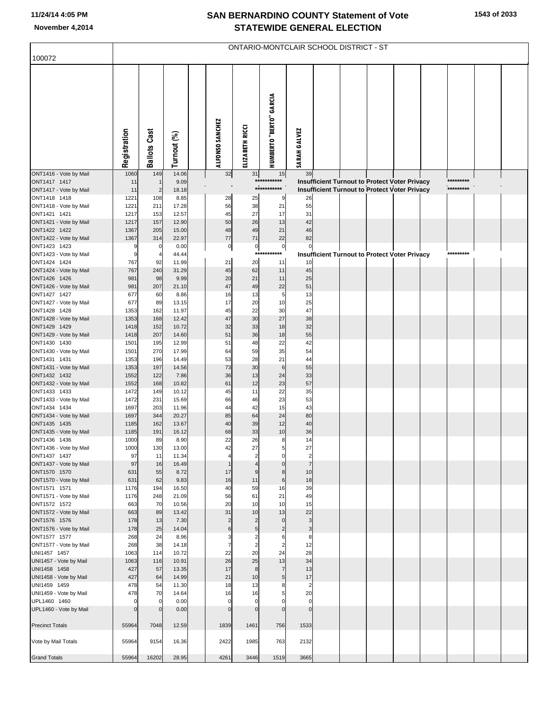## **SAN BERNARDINO COUNTY Statement of Vote November 4,2014 STATEWIDE GENERAL ELECTION**

| 100072                                 | ONTARIO-MONTCLAIR SCHOOL DISTRICT - ST |                     |                |  |                      |                                  |                                |                                           |  |  |  |                                                                                                       |           |  |
|----------------------------------------|----------------------------------------|---------------------|----------------|--|----------------------|----------------------------------|--------------------------------|-------------------------------------------|--|--|--|-------------------------------------------------------------------------------------------------------|-----------|--|
|                                        |                                        |                     |                |  |                      |                                  |                                |                                           |  |  |  |                                                                                                       |           |  |
|                                        | Registration                           | <b>Ballots Cast</b> | Turnout (%)    |  | ALFONSO SANCHEZ      | ELIZABETH RICCI                  | <b>HUMBERTO "BERTO" GARCIA</b> | <b>SARAH GALVEZ</b>                       |  |  |  |                                                                                                       |           |  |
| ONT1416 - Vote by Mail                 | 1060                                   | 149                 | 14.06          |  | 32                   | 31                               | 15<br>***********              | 39                                        |  |  |  |                                                                                                       | ********* |  |
| ONT1417 1417<br>ONT1417 - Vote by Mail | 11<br>11                               | $\overline{2}$      | 9.09<br>18.18  |  |                      |                                  | ***********                    |                                           |  |  |  | Insufficient Turnout to Protect Voter Privacy<br><b>Insufficient Turnout to Protect Voter Privacy</b> | ********* |  |
| ONT1418 1418                           | 1221                                   | 108                 | 8.85           |  | 28                   | 25                               | 9                              | 26                                        |  |  |  |                                                                                                       |           |  |
| ONT1418 - Vote by Mail                 | 1221                                   | 211                 | 17.28          |  | 56                   | 38                               | 21                             | 55                                        |  |  |  |                                                                                                       |           |  |
| ONT1421 1421                           | 1217                                   | 153                 | 12.57          |  | 45                   | 27                               | 17                             | 31                                        |  |  |  |                                                                                                       |           |  |
| ONT1421 - Vote by Mail<br>ONT1422 1422 | 1217<br>1367                           | 157                 | 12.90          |  | 50<br>48             | 26<br>49                         | 13<br>21                       | 42<br>46                                  |  |  |  |                                                                                                       |           |  |
| ONT1422 - Vote by Mail                 | 1367                                   | 205<br>314          | 15.00<br>22.97 |  | 77                   | 71                               | 22                             | 82                                        |  |  |  |                                                                                                       |           |  |
| ONT1423 1423                           | S                                      | 0                   | 0.00           |  | $\overline{0}$       | $\circ$                          | $\overline{0}$                 | 0                                         |  |  |  |                                                                                                       |           |  |
| ONT1423 - Vote by Mail                 | 9                                      |                     | 44.44          |  |                      |                                  | ***********                    |                                           |  |  |  | Insufficient Turnout to Protect Voter Privacy                                                         | ********* |  |
| ONT1424 1424                           | 767                                    | 92                  | 11.99          |  | 21                   | 20                               | 11                             | 10                                        |  |  |  |                                                                                                       |           |  |
| ONT1424 - Vote by Mail<br>ONT1426 1426 | 767<br>981                             | 240<br>98           | 31.29<br>9.99  |  | 45<br>20             | 62<br>21                         | 11<br>11                       | 45<br>25                                  |  |  |  |                                                                                                       |           |  |
| ONT1426 - Vote by Mail                 | 981                                    | 207                 | 21.10          |  | 47                   | 49                               | 22                             | 51                                        |  |  |  |                                                                                                       |           |  |
| ONT1427 1427                           | 677                                    | 60                  | 8.86           |  | 16                   | 13                               | 5                              | 13                                        |  |  |  |                                                                                                       |           |  |
| ONT1427 - Vote by Mail                 | 677                                    | 89                  | 13.15          |  | 17                   | 20                               | 10                             | 25                                        |  |  |  |                                                                                                       |           |  |
| ONT1428 1428                           | 1353                                   | 162                 | 11.97          |  | 45                   | 22                               | 30                             | 47                                        |  |  |  |                                                                                                       |           |  |
| ONT1428 - Vote by Mail<br>ONT1429 1429 | 1353<br>1418                           | 168<br>152          | 12.42<br>10.72 |  | 47<br>32             | 30<br>33                         | 27<br>18                       | 38<br>32                                  |  |  |  |                                                                                                       |           |  |
| ONT1429 - Vote by Mail                 | 1418                                   | 207                 | 14.60          |  | 51                   | 36                               | 18                             | 55                                        |  |  |  |                                                                                                       |           |  |
| ONT1430 1430                           | 1501                                   | 195                 | 12.99          |  | 51                   | 48                               | 22                             | 42                                        |  |  |  |                                                                                                       |           |  |
| ONT1430 - Vote by Mail                 | 1501                                   | 270                 | 17.99          |  | 64                   | 59                               | 35                             | 54                                        |  |  |  |                                                                                                       |           |  |
| ONT1431 1431                           | 1353                                   | 196                 | 14.49          |  | 53                   | 28                               | 21                             | 44                                        |  |  |  |                                                                                                       |           |  |
| ONT1431 - Vote by Mail<br>ONT1432 1432 | 1353<br>1552                           | 197<br>122          | 14.56<br>7.86  |  | 73<br>36             | 30<br>13                         | 6<br>24                        | 55<br>33                                  |  |  |  |                                                                                                       |           |  |
| ONT1432 - Vote by Mail                 | 1552                                   | 168                 | 10.82          |  | 61                   | 12                               | 23                             | 57                                        |  |  |  |                                                                                                       |           |  |
| ONT1433 1433                           | 1472                                   | 149                 | 10.12          |  | 45                   | 11                               | 22                             | 35                                        |  |  |  |                                                                                                       |           |  |
| ONT1433 - Vote by Mail                 | 1472                                   | 231                 | 15.69          |  | 66                   | 46                               | 23                             | 53                                        |  |  |  |                                                                                                       |           |  |
| ONT1434 1434                           | 1697                                   | 203                 | 11.96          |  | 44                   | 42                               | 15                             | 43                                        |  |  |  |                                                                                                       |           |  |
| ONT1434 - Vote by Mail<br>ONT1435 1435 | 1697<br>1185                           | 344<br>162          | 20.27<br>13.67 |  | 85<br>40             | 64<br>39                         | 24<br>12                       | 80<br>40                                  |  |  |  |                                                                                                       |           |  |
| ONT1435 - Vote by Mail                 | 1185                                   | 191                 | 16.12          |  | 68                   | 33                               | 10                             | 36                                        |  |  |  |                                                                                                       |           |  |
| ONT1436 1436                           | 1000                                   | 89                  | 8.90           |  | 22                   | 26                               | 8                              | 14                                        |  |  |  |                                                                                                       |           |  |
| ONT1436 - Vote by Mail                 | 1000                                   | 130                 | 13.00          |  | 42                   | 27                               |                                | 27                                        |  |  |  |                                                                                                       |           |  |
| ONT1437 1437                           | 97                                     | 11                  | 11.34          |  |                      | $\overline{2}$<br>$\overline{4}$ | $\mathbf 0$                    | $\overline{\mathbf{c}}$<br>$\overline{7}$ |  |  |  |                                                                                                       |           |  |
| ONT1437 - Vote by Mail<br>ONT1570 1570 | 97<br>631                              | 16<br>55            | 16.49<br>8.72  |  | 17                   | 9                                | $\overline{0}$<br>8            | 10                                        |  |  |  |                                                                                                       |           |  |
| ONT1570 - Vote by Mail                 | 631                                    | 62                  | 9.83           |  | 16                   | 11                               | 6                              | 18                                        |  |  |  |                                                                                                       |           |  |
| ONT1571 1571                           | 1176                                   | 194                 | 16.50          |  | 40                   | 59                               | 16                             | 39                                        |  |  |  |                                                                                                       |           |  |
| ONT1571 - Vote by Mail                 | 1176                                   | 248                 | 21.09          |  | 56                   | 61                               | 21                             | 49                                        |  |  |  |                                                                                                       |           |  |
| ONT1572 1572<br>ONT1572 - Vote by Mail | 663<br>663                             | 70<br>89            | 10.56<br>13.42 |  | 20<br>31             | 10<br>10                         | 10<br>13                       | 15<br>22                                  |  |  |  |                                                                                                       |           |  |
| ONT1576 1576                           | 178                                    | 13                  | 7.30           |  | $\overline{2}$       | 2                                | $\mathbf 0$                    | 3                                         |  |  |  |                                                                                                       |           |  |
| ONT1576 - Vote by Mail                 | 178                                    | 25                  | 14.04          |  | 6                    | 5 <sub>5</sub>                   | $\overline{2}$                 | $\mathsf 3$                               |  |  |  |                                                                                                       |           |  |
| ONT1577 1577                           | 268                                    | 24                  | 8.96           |  |                      | $\overline{2}$                   | 6                              | 8                                         |  |  |  |                                                                                                       |           |  |
| ONT1577 - Vote by Mail                 | 268                                    | 38                  | 14.18          |  | 7                    | $\overline{2}$                   | $\overline{2}$                 | 12                                        |  |  |  |                                                                                                       |           |  |
| UNI1457 1457<br>UNI1457 - Vote by Mail | 1063<br>1063                           | 114<br>116          | 10.72<br>10.91 |  | 22<br>26             | 20<br>25                         | 24<br>13                       | 28<br>34                                  |  |  |  |                                                                                                       |           |  |
| UNI1458 1458                           | 427                                    | 57                  | 13.35          |  | 17                   | 8                                | $\overline{7}$                 | 13                                        |  |  |  |                                                                                                       |           |  |
| UNI1458 - Vote by Mail                 | 427                                    | 64                  | 14.99          |  | 21                   | 10                               | 5 <sub>1</sub>                 | 17                                        |  |  |  |                                                                                                       |           |  |
| UNI1459 1459                           | 478                                    | 54                  | 11.30          |  | 18                   | 13                               | 8                              | $\overline{2}$                            |  |  |  |                                                                                                       |           |  |
| UNI1459 - Vote by Mail                 | 478                                    | 70                  | 14.64          |  | 16                   | 16                               | 5                              | 20                                        |  |  |  |                                                                                                       |           |  |
| UPL1460 1460<br>UPL1460 - Vote by Mail | $\Omega$<br>$\sqrt{ }$                 | 0<br>$\mathbf{0}$   | 0.00<br>0.00   |  | $\Omega$<br>$\Omega$ | $\mathbf 0$<br>$\mathbf 0$       | $\Omega$                       | $\mathbf 0$<br>$\Omega$                   |  |  |  |                                                                                                       |           |  |
|                                        |                                        |                     |                |  |                      |                                  |                                |                                           |  |  |  |                                                                                                       |           |  |
| <b>Precinct Totals</b>                 | 55964                                  | 7048                | 12.59          |  | 1839                 | 1461                             | 756                            | 1533                                      |  |  |  |                                                                                                       |           |  |
|                                        |                                        |                     |                |  |                      |                                  |                                |                                           |  |  |  |                                                                                                       |           |  |
| Vote by Mail Totals                    | 55964                                  | 9154                | 16.36          |  | 2422                 | 1985                             | 763                            | 2132                                      |  |  |  |                                                                                                       |           |  |
| <b>Grand Totals</b>                    | 55964                                  | 16202               | 28.95          |  | 4261                 | 3446                             | 1519                           | 3665                                      |  |  |  |                                                                                                       |           |  |